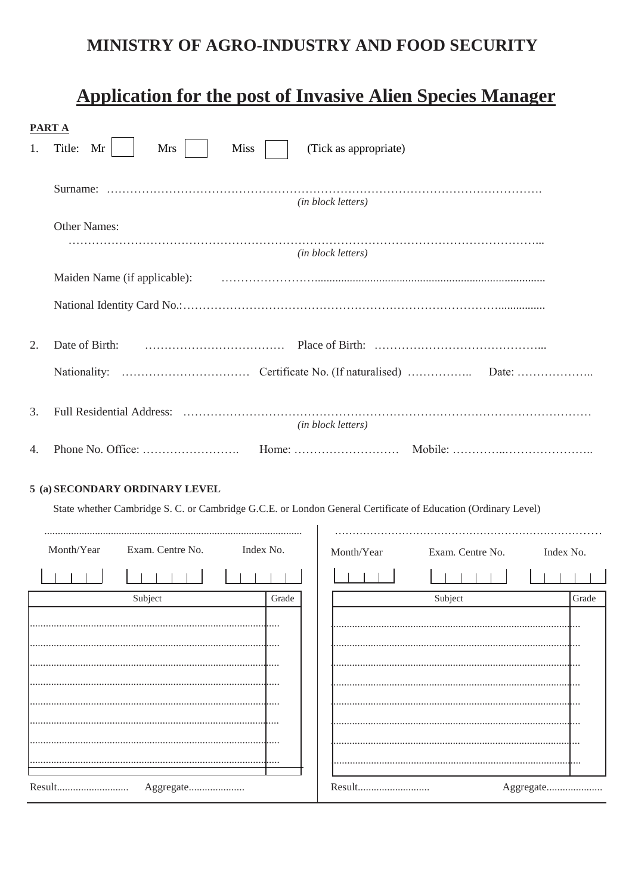# MINISTRY OF AGRO-INDUSTRY AND FOOD SECURITY

# **Application for the post of Invasive Alien Species Manager**

|    | PART A                                                                                                        |  |                    |                  |           |       |  |  |
|----|---------------------------------------------------------------------------------------------------------------|--|--------------------|------------------|-----------|-------|--|--|
| 1. | Title:<br>Mr<br>Mrs<br><b>Miss</b><br>(Tick as appropriate)                                                   |  |                    |                  |           |       |  |  |
|    |                                                                                                               |  |                    |                  |           |       |  |  |
|    |                                                                                                               |  | (in block letters) |                  |           |       |  |  |
|    | Other Names:                                                                                                  |  |                    |                  |           |       |  |  |
|    |                                                                                                               |  | (in block letters) |                  |           |       |  |  |
|    | Maiden Name (if applicable):                                                                                  |  |                    |                  |           |       |  |  |
|    |                                                                                                               |  |                    |                  |           |       |  |  |
| 2. | Date of Birth:                                                                                                |  |                    |                  |           |       |  |  |
|    |                                                                                                               |  |                    |                  |           |       |  |  |
|    |                                                                                                               |  |                    |                  |           |       |  |  |
| 3. | (in block letters)                                                                                            |  |                    |                  |           |       |  |  |
| 4. |                                                                                                               |  |                    |                  |           |       |  |  |
|    |                                                                                                               |  |                    |                  |           |       |  |  |
|    | 5 (a) SECONDARY ORDINARY LEVEL                                                                                |  |                    |                  |           |       |  |  |
|    | State whether Cambridge S. C. or Cambridge G.C.E. or London General Certificate of Education (Ordinary Level) |  |                    |                  |           |       |  |  |
|    | Month/Year<br>Exam. Centre No.<br>Index No.                                                                   |  | Month/Year         | Exam. Centre No. | Index No. |       |  |  |
|    |                                                                                                               |  |                    |                  |           |       |  |  |
|    | Subject<br>Grade                                                                                              |  |                    | Subject          |           | Grade |  |  |
|    |                                                                                                               |  |                    |                  |           |       |  |  |
|    |                                                                                                               |  |                    |                  |           |       |  |  |
|    |                                                                                                               |  |                    |                  |           |       |  |  |
|    |                                                                                                               |  |                    |                  |           |       |  |  |
|    |                                                                                                               |  |                    |                  |           |       |  |  |

......

. . . .

Aggregate......................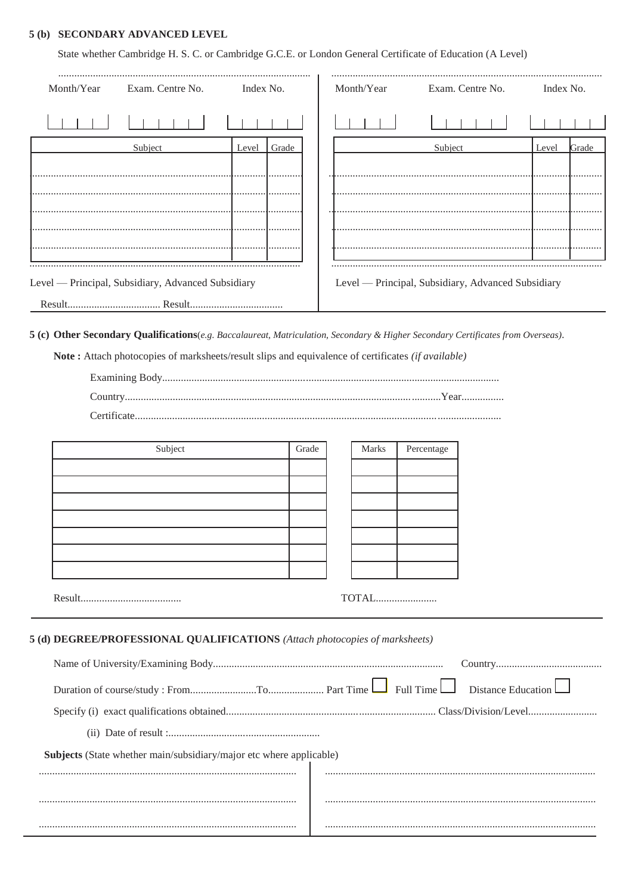#### 5 (b) SECONDARY ADVANCED LEVEL

State whether Cambridge H. S. C. or Cambridge G.C.E. or London General Certificate of Education (A Level)

| Exam. Centre No.                                                            | Index No.      |       | Month/Year |                         | Exam. Centre No.                                   | Index No.      |
|-----------------------------------------------------------------------------|----------------|-------|------------|-------------------------|----------------------------------------------------|----------------|
|                                                                             |                |       |            |                         |                                                    |                |
| Subject                                                                     | Grade<br>Level |       |            | Subject                 |                                                    | Grade<br>Level |
|                                                                             |                |       |            |                         |                                                    |                |
|                                                                             |                |       |            |                         |                                                    |                |
|                                                                             |                |       |            |                         |                                                    |                |
|                                                                             |                |       |            |                         |                                                    |                |
|                                                                             |                |       |            |                         |                                                    |                |
|                                                                             |                |       |            |                         |                                                    |                |
| Level - Principal, Subsidiary, Advanced Subsidiary                          |                |       |            |                         | Level — Principal, Subsidiary, Advanced Subsidiary |                |
|                                                                             |                |       |            |                         |                                                    |                |
|                                                                             |                |       |            |                         |                                                    |                |
|                                                                             |                |       |            |                         |                                                    |                |
| Subject                                                                     |                | Grade | Marks      | Percentage              |                                                    |                |
|                                                                             |                |       |            |                         |                                                    |                |
|                                                                             |                |       |            |                         |                                                    |                |
|                                                                             |                |       |            |                         |                                                    |                |
|                                                                             |                |       |            |                         |                                                    |                |
|                                                                             |                |       |            |                         |                                                    |                |
|                                                                             |                |       |            |                         |                                                    |                |
|                                                                             |                |       | TOTAL      |                         |                                                    |                |
|                                                                             |                |       |            |                         |                                                    |                |
| 5 (d) DEGREE/PROFESSIONAL QUALIFICATIONS (Attach photocopies of marksheets) |                |       |            |                         |                                                    |                |
|                                                                             |                |       |            | $\Box$ Full Time $\Box$ | <b>Distance Education</b>                          |                |
|                                                                             |                |       |            |                         |                                                    |                |
|                                                                             |                |       |            |                         |                                                    |                |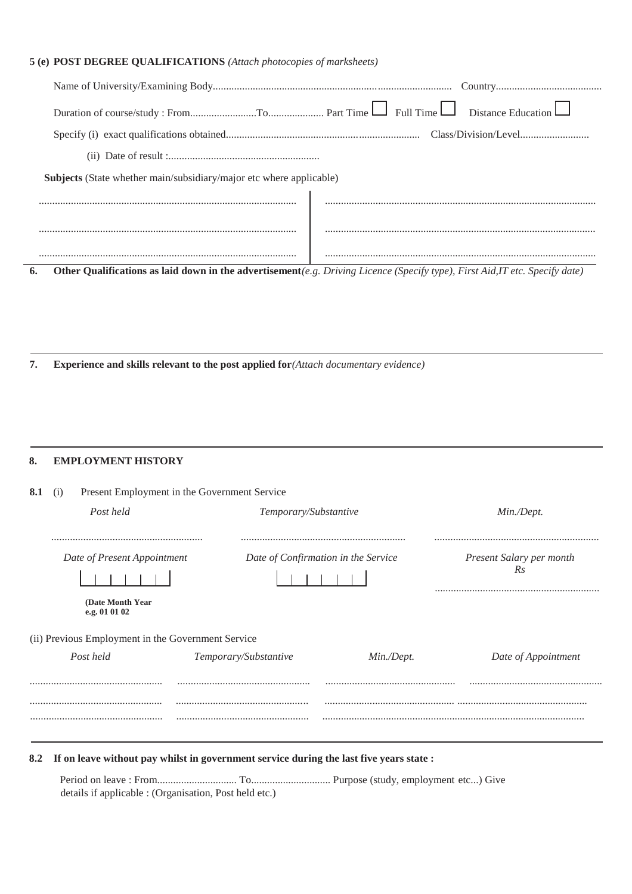# **5 (e) POST DEGREE QUALIFICATIONS** *(Attach photocopies of marksheets)*

| <b>Subjects</b> (State whether main/subsidiary/major etc where applicable)                                                   |  |  |  |  |  |  |
|------------------------------------------------------------------------------------------------------------------------------|--|--|--|--|--|--|
|                                                                                                                              |  |  |  |  |  |  |
|                                                                                                                              |  |  |  |  |  |  |
|                                                                                                                              |  |  |  |  |  |  |
| Other Qualifications as laid down in the advertisement(e.g. Driving Licence (Specify type), First Aid, IT etc. Specify date) |  |  |  |  |  |  |
|                                                                                                                              |  |  |  |  |  |  |
|                                                                                                                              |  |  |  |  |  |  |
|                                                                                                                              |  |  |  |  |  |  |

**7. Experience and skills relevant to the post applied for***(Attach documentary evidence)*

### **8. EMPLOYMENT HISTORY**

| 8.1<br>(i)                                                                               | Present Employment in the Government Service |                                     |                                |  |  |
|------------------------------------------------------------------------------------------|----------------------------------------------|-------------------------------------|--------------------------------|--|--|
| Post held                                                                                | Temporary/Substantive                        |                                     | Min./Dept.                     |  |  |
|                                                                                          |                                              |                                     |                                |  |  |
| Date of Present Appointment                                                              |                                              | Date of Confirmation in the Service | Present Salary per month<br>Rs |  |  |
| (Date Month Year)<br>e.g. 01 01 02<br>(ii) Previous Employment in the Government Service |                                              |                                     |                                |  |  |
| Post held                                                                                | Temporary/Substantive                        | Min./Dept.                          | Date of Appointment            |  |  |
|                                                                                          |                                              |                                     |                                |  |  |
|                                                                                          |                                              |                                     |                                |  |  |
|                                                                                          |                                              |                                     |                                |  |  |
|                                                                                          |                                              |                                     |                                |  |  |

**8.2 If on leave without pay whilst in government service during the last five years state :**

Period on leave : From.............................. To.............................. Purpose (study, employment etc...) Give details if applicable : (Organisation, Post held etc.)